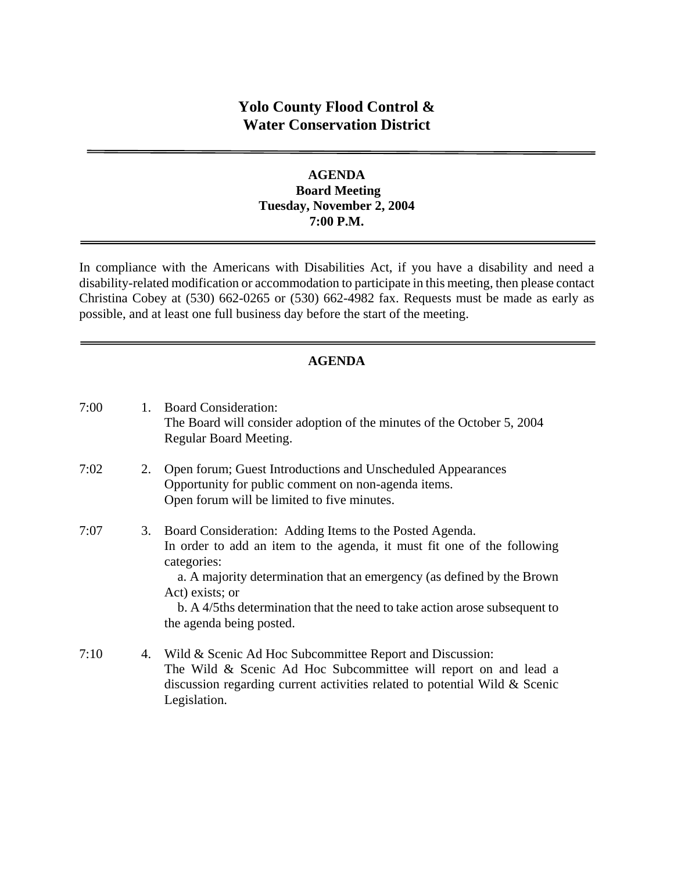# **Yolo County Flood Control & Water Conservation District**

#### **AGENDA Board Meeting Tuesday, November 2, 2004 7:00 P.M.**

In compliance with the Americans with Disabilities Act, if you have a disability and need a disability-related modification or accommodation to participate in this meeting, then please contact Christina Cobey at (530) 662-0265 or (530) 662-4982 fax. Requests must be made as early as possible, and at least one full business day before the start of the meeting.

# **AGENDA**

| 7:00 | 1. | <b>Board Consideration:</b><br>The Board will consider adoption of the minutes of the October 5, 2004<br>Regular Board Meeting.                                                                                                                                                                                                                          |
|------|----|----------------------------------------------------------------------------------------------------------------------------------------------------------------------------------------------------------------------------------------------------------------------------------------------------------------------------------------------------------|
| 7:02 | 2. | Open forum; Guest Introductions and Unscheduled Appearances<br>Opportunity for public comment on non-agenda items.<br>Open forum will be limited to five minutes.                                                                                                                                                                                        |
| 7:07 | 3. | Board Consideration: Adding Items to the Posted Agenda.<br>In order to add an item to the agenda, it must fit one of the following<br>categories:<br>a. A majority determination that an emergency (as defined by the Brown<br>Act) exists; or<br>b. A 4/5ths determination that the need to take action arose subsequent to<br>the agenda being posted. |
| 7:10 |    | 4. Wild & Scenic Ad Hoc Subcommittee Report and Discussion:<br>The Wild & Scenic Ad Hoc Subcommittee will report on and lead a<br>discussion regarding current activities related to potential Wild & Scenic<br>Legislation.                                                                                                                             |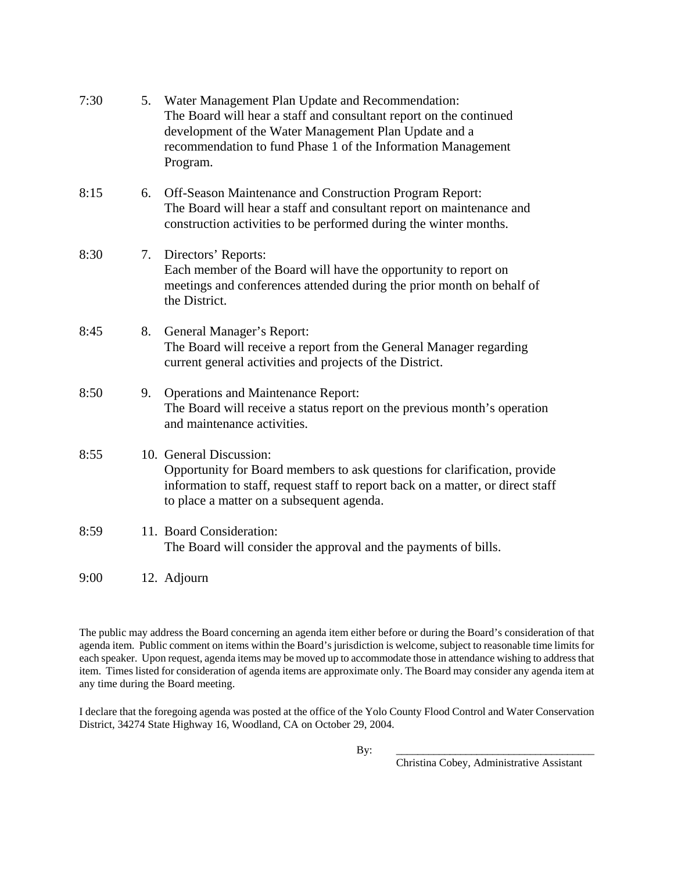| 7:30 | 5. | Water Management Plan Update and Recommendation:<br>The Board will hear a staff and consultant report on the continued<br>development of the Water Management Plan Update and a<br>recommendation to fund Phase 1 of the Information Management<br>Program. |
|------|----|-------------------------------------------------------------------------------------------------------------------------------------------------------------------------------------------------------------------------------------------------------------|
| 8:15 | 6. | Off-Season Maintenance and Construction Program Report:<br>The Board will hear a staff and consultant report on maintenance and<br>construction activities to be performed during the winter months.                                                        |
| 8:30 | 7. | Directors' Reports:<br>Each member of the Board will have the opportunity to report on<br>meetings and conferences attended during the prior month on behalf of<br>the District.                                                                            |
| 8:45 | 8. | General Manager's Report:<br>The Board will receive a report from the General Manager regarding<br>current general activities and projects of the District.                                                                                                 |
| 8:50 | 9. | <b>Operations and Maintenance Report:</b><br>The Board will receive a status report on the previous month's operation<br>and maintenance activities.                                                                                                        |
| 8:55 |    | 10. General Discussion:<br>Opportunity for Board members to ask questions for clarification, provide<br>information to staff, request staff to report back on a matter, or direct staff<br>to place a matter on a subsequent agenda.                        |
| 8:59 |    | 11. Board Consideration:<br>The Board will consider the approval and the payments of bills.                                                                                                                                                                 |
| 9:00 |    | 12. Adjourn                                                                                                                                                                                                                                                 |

The public may address the Board concerning an agenda item either before or during the Board's consideration of that agenda item. Public comment on items within the Board's jurisdiction is welcome, subject to reasonable time limits for each speaker. Upon request, agenda items may be moved up to accommodate those in attendance wishing to address that item. Times listed for consideration of agenda items are approximate only. The Board may consider any agenda item at any time during the Board meeting.

I declare that the foregoing agenda was posted at the office of the Yolo County Flood Control and Water Conservation District, 34274 State Highway 16, Woodland, CA on October 29, 2004.

By: \_\_\_\_\_\_\_\_\_\_\_\_\_\_\_\_\_\_\_\_\_\_\_\_\_\_\_\_\_\_\_\_\_\_\_\_\_

Christina Cobey, Administrative Assistant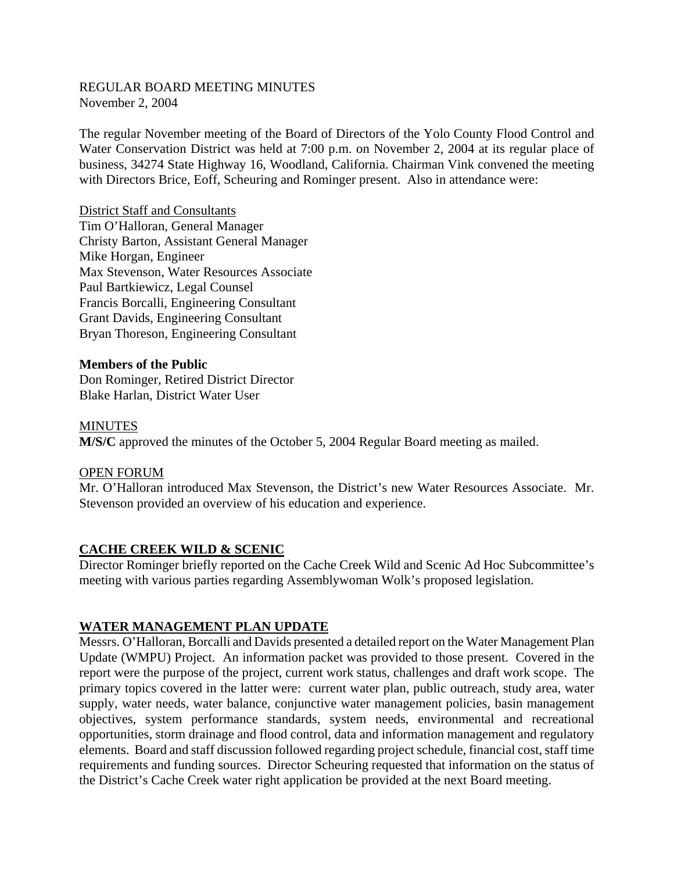#### REGULAR BOARD MEETING MINUTES November 2, 2004

The regular November meeting of the Board of Directors of the Yolo County Flood Control and Water Conservation District was held at 7:00 p.m. on November 2, 2004 at its regular place of business, 34274 State Highway 16, Woodland, California. Chairman Vink convened the meeting with Directors Brice, Eoff, Scheuring and Rominger present. Also in attendance were:

District Staff and Consultants Tim O'Halloran, General Manager Christy Barton, Assistant General Manager Mike Horgan, Engineer Max Stevenson, Water Resources Associate Paul Bartkiewicz, Legal Counsel Francis Borcalli, Engineering Consultant Grant Davids, Engineering Consultant Bryan Thoreson, Engineering Consultant

## **Members of the Public**

Don Rominger, Retired District Director Blake Harlan, District Water User

**MINUTES** 

**M/S/C** approved the minutes of the October 5, 2004 Regular Board meeting as mailed.

#### OPEN FORUM

Mr. O'Halloran introduced Max Stevenson, the District's new Water Resources Associate. Mr. Stevenson provided an overview of his education and experience.

## **CACHE CREEK WILD & SCENIC**

Director Rominger briefly reported on the Cache Creek Wild and Scenic Ad Hoc Subcommittee's meeting with various parties regarding Assemblywoman Wolk's proposed legislation.

## **WATER MANAGEMENT PLAN UPDATE**

Messrs. O'Halloran, Borcalli and Davids presented a detailed report on the Water Management Plan Update (WMPU) Project. An information packet was provided to those present. Covered in the report were the purpose of the project, current work status, challenges and draft work scope. The primary topics covered in the latter were: current water plan, public outreach, study area, water supply, water needs, water balance, conjunctive water management policies, basin management objectives, system performance standards, system needs, environmental and recreational opportunities, storm drainage and flood control, data and information management and regulatory elements. Board and staff discussion followed regarding project schedule, financial cost, staff time requirements and funding sources. Director Scheuring requested that information on the status of the District's Cache Creek water right application be provided at the next Board meeting.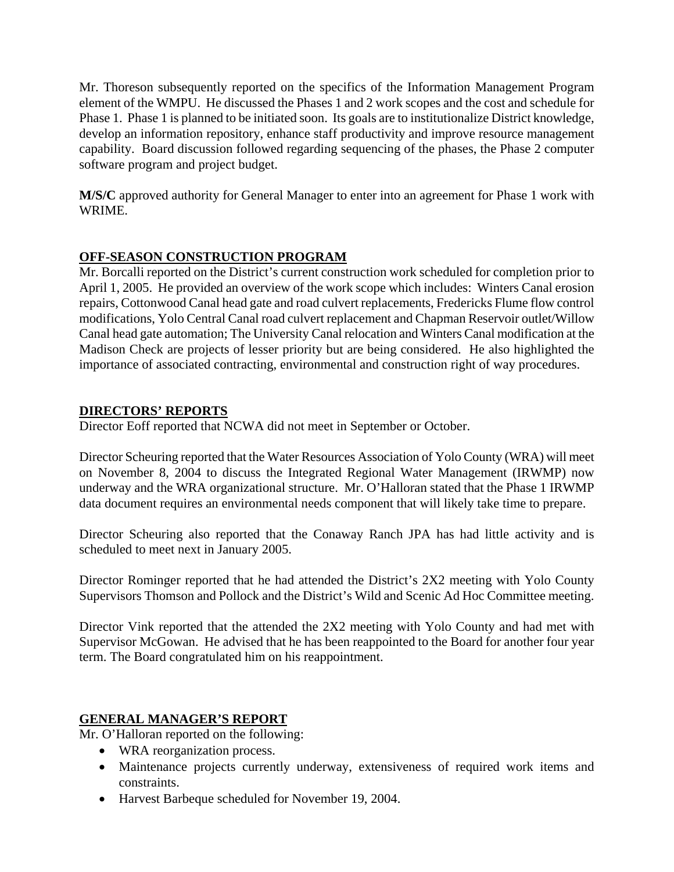Mr. Thoreson subsequently reported on the specifics of the Information Management Program element of the WMPU. He discussed the Phases 1 and 2 work scopes and the cost and schedule for Phase 1. Phase 1 is planned to be initiated soon. Its goals are to institutionalize District knowledge, develop an information repository, enhance staff productivity and improve resource management capability. Board discussion followed regarding sequencing of the phases, the Phase 2 computer software program and project budget.

**M/S/C** approved authority for General Manager to enter into an agreement for Phase 1 work with WRIME.

# **OFF-SEASON CONSTRUCTION PROGRAM**

Mr. Borcalli reported on the District's current construction work scheduled for completion prior to April 1, 2005. He provided an overview of the work scope which includes: Winters Canal erosion repairs, Cottonwood Canal head gate and road culvert replacements, Fredericks Flume flow control modifications, Yolo Central Canal road culvert replacement and Chapman Reservoir outlet/Willow Canal head gate automation; The University Canal relocation and Winters Canal modification at the Madison Check are projects of lesser priority but are being considered. He also highlighted the importance of associated contracting, environmental and construction right of way procedures.

# **DIRECTORS' REPORTS**

Director Eoff reported that NCWA did not meet in September or October.

Director Scheuring reported that the Water Resources Association of Yolo County (WRA) will meet on November 8, 2004 to discuss the Integrated Regional Water Management (IRWMP) now underway and the WRA organizational structure. Mr. O'Halloran stated that the Phase 1 IRWMP data document requires an environmental needs component that will likely take time to prepare.

Director Scheuring also reported that the Conaway Ranch JPA has had little activity and is scheduled to meet next in January 2005.

Director Rominger reported that he had attended the District's 2X2 meeting with Yolo County Supervisors Thomson and Pollock and the District's Wild and Scenic Ad Hoc Committee meeting.

Director Vink reported that the attended the 2X2 meeting with Yolo County and had met with Supervisor McGowan. He advised that he has been reappointed to the Board for another four year term. The Board congratulated him on his reappointment.

## **GENERAL MANAGER'S REPORT**

Mr. O'Halloran reported on the following:

- WRA reorganization process.
- Maintenance projects currently underway, extensiveness of required work items and constraints.
- Harvest Barbeque scheduled for November 19, 2004.